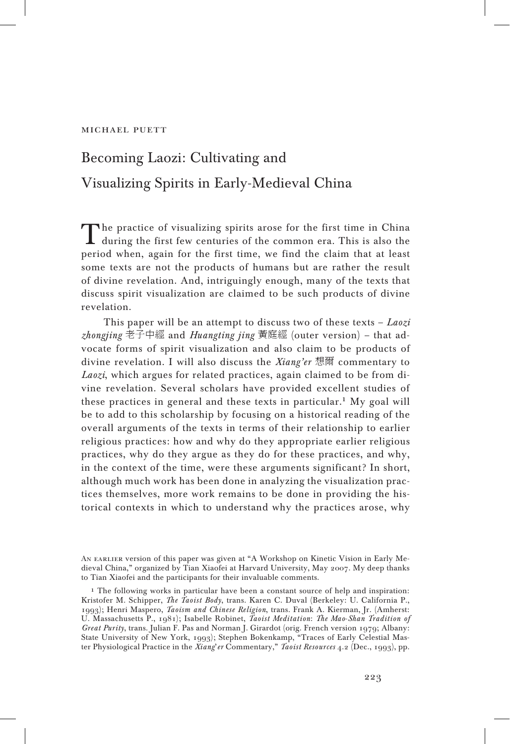# Becoming Laozi: Cultivating and Visualizing Spirits in Early-Medieval China

The practice of visualizing spirits arose for the first time in China during the first few centuries of the common era. This is also the period when, again for the first time, we find the claim that at least some texts are not the products of humans but are rather the result of divine revelation. And, intriguingly enough, many of the texts that discuss spirit visualization are claimed to be such products of divine revelation.

This paper will be an attempt to discuss two of these texts – *Laozi zhongjing* 老子中經 and *Huangting jing* 黃庭經 (outer version) – that advocate forms of spirit visualization and also claim to be products of divine revelation. I will also discuss the *Xiang'er* 想爾 commentary to *Laozi*, which argues for related practices, again claimed to be from divine revelation. Several scholars have provided excellent studies of these practices in general and these texts in particular.<sup>1</sup> My goal will be to add to this scholarship by focusing on a historical reading of the overall arguments of the texts in terms of their relationship to earlier religious practices: how and why do they appropriate earlier religious practices, why do they argue as they do for these practices, and why, in the context of the time, were these arguments significant? In short, although much work has been done in analyzing the visualization practices themselves, more work remains to be done in providing the historical contexts in which to understand why the practices arose, why

An earlier version of this paper was given at "A Workshop on Kinetic Vision in Early Medieval China," organized by Tian Xiaofei at Harvard University, May 2007. My deep thanks to Tian Xiaofei and the participants for their invaluable comments.

<sup>1</sup> The following works in particular have been a constant source of help and inspiration: Kristofer M. Schipper, *The Taoist Body*, trans. Karen C. Duval (Berkeley: U. California P., 1993); Henri Maspero, *Taoism and Chinese Religion*, trans. Frank A. Kierman, Jr. (Amherst: U. Massachusetts P., 1981); Isabelle Robinet, *Taoist Meditation*: *The Mao*-*Shan Tradition of Great Purity*, trans. Julian F. Pas and Norman J. Girardot (orig. French version 1979; Albany: State University of New York, 1993); Stephen Bokenkamp, "Traces of Early Celestial Master Physiological Practice in the *Xiang*'*er* Commentary," *Taoist Resources* 4.2 (Dec., 1993), pp.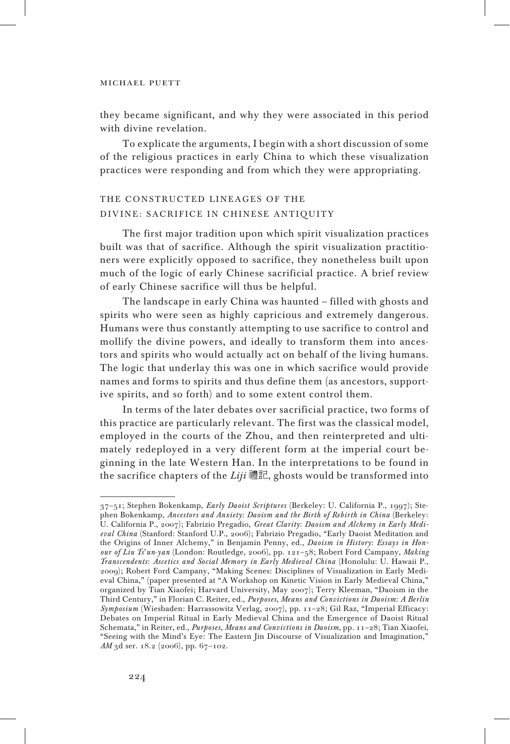they became significant, and why they were associated in this period with divine revelation.

To explicate the arguments, I begin with a short discussion of some of the religious practices in early China to which these visualization practices were responding and from which they were appropriating.

# THE CONSTRUCTED LINEAGES OF THE DIVINE: SACRIFICE IN CHINESE ANTIQUITY

The first major tradition upon which spirit visualization practices built was that of sacrifice. Although the spirit visualization practitioners were explicitly opposed to sacrifice, they nonetheless built upon much of the logic of early Chinese sacrificial practice. A brief review of early Chinese sacrifice will thus be helpful.

The landscape in early China was haunted – filled with ghosts and spirits who were seen as highly capricious and extremely dangerous. Humans were thus constantly attempting to use sacrifice to control and mollify the divine powers, and ideally to transform them into ancestors and spirits who would actually act on behalf of the living humans. The logic that underlay this was one in which sacrifice would provide names and forms to spirits and thus define them (as ancestors, supportive spirits, and so forth) and to some extent control them.

In terms of the later debates over sacrificial practice, two forms of this practice are particularly relevant. The first was the classical model, employed in the courts of the Zhou, and then reinterpreted and ultimately redeployed in a very different form at the imperial court beginning in the late Western Han. In the interpretations to be found in the sacrifice chapters of the *Liji* 禮記, ghosts would be transformed into

<sup>37</sup>–51; Stephen Bokenkamp, *Early Daoist Scriptures* (Berkeley: U. California P., 1997); Stephen Bokenkamp, *Ancestors and Anxiety*: *Daoism and the Birth of Rebirth in China* (Berkeley: U. California P., 2007); Fabrizio Pregadio, *Great Clarity*: *Daoism and Alchemy in Early Medieval China* (Stanford: Stanford U.P., 2006); Fabrizio Pregadio, "Early Daoist Meditation and the Origins of Inner Alchemy," in Benjamin Penny, ed., *Daoism in History*: *Essays in Honour of Liu Ts*'*un*-*yan* (London: Routledge, 2006), pp. 121–58; Robert Ford Campany, *Making Transcendents*: *Ascetics and Social Memory in Early Medieval China* (Honolulu: U. Hawaii P., 2009); Robert Ford Campany, "Making Scenes: Disciplines of Visualization in Early Medieval China," (paper presented at "A Workshop on Kinetic Vision in Early Medieval China," organized by Tian Xiaofei; Harvard University, May 2007); Terry Kleeman, "Daoism in the Third Century," in Florian C. Reiter, ed., *Purposes*, *Means and Convictions in Daoism*: *A Berlin Symposium* (Wiesbaden: Harrassowitz Verlag, 2007), pp. 11–28; Gil Raz, "Imperial Efficacy: Debates on Imperial Ritual in Early Medieval China and the Emergence of Daoist Ritual Schemata," in Reiter, ed., *Purposes*, *Means and Convictions in Daoism*, pp. 11–28; Tian Xiaofei, "Seeing with the Mind's Eye: The Eastern Jin Discourse of Visualization and Imagination," *AM* 3d ser. 18.2 (2006), pp. 67–102.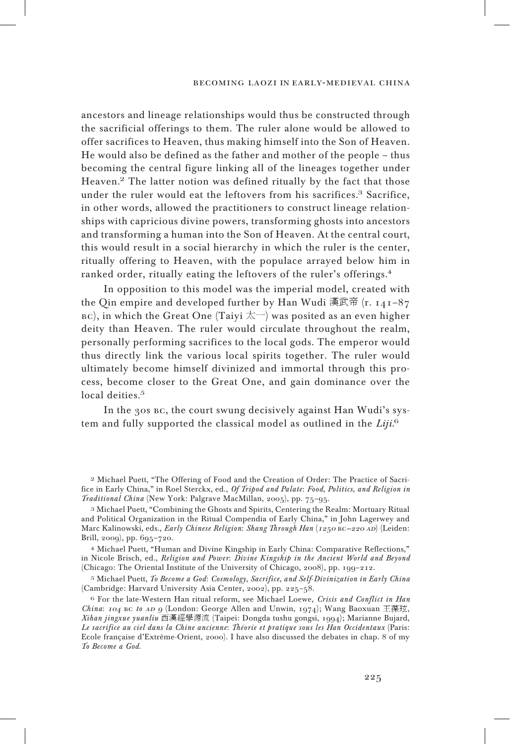ancestors and lineage relationships would thus be constructed through the sacrificial offerings to them. The ruler alone would be allowed to offer sacrifices to Heaven, thus making himself into the Son of Heaven. He would also be defined as the father and mother of the people – thus becoming the central figure linking all of the lineages together under Heaven.<sup>2</sup> The latter notion was defined ritually by the fact that those under the ruler would eat the leftovers from his sacrifices.<sup>3</sup> Sacrifice, in other words, allowed the practitioners to construct lineage relationships with capricious divine powers, transforming ghosts into ancestors and transforming a human into the Son of Heaven. At the central court, this would result in a social hierarchy in which the ruler is the center, ritually offering to Heaven, with the populace arrayed below him in ranked order, ritually eating the leftovers of the ruler's offerings.<sup>4</sup>

In opposition to this model was the imperial model, created with the Oin empire and developed further by Han Wudi 漢武帝  $(r. 141-87)$ вс), in which the Great One (Taiyi  $\pm$ ) was posited as an even higher deity than Heaven. The ruler would circulate throughout the realm, personally performing sacrifices to the local gods. The emperor would thus directly link the various local spirits together. The ruler would ultimately become himself divinized and immortal through this process, become closer to the Great One, and gain dominance over the local deities.<sup>5</sup>

In the 30s bc, the court swung decisively against Han Wudi's system and fully supported the classical model as outlined in the *Liji*. 6

<sup>2</sup> Michael Puett, "The Offering of Food and the Creation of Order: The Practice of Sacrifice in Early China," in Roel Sterckx, ed., *Of Tripod and Palate*: *Food*, *Politics*, *and Religion in Traditional China* (New York: Palgrave MacMillan, 2005), pp. 75–95.

<sup>3</sup> Michael Puett, "Combining the Ghosts and Spirits, Centering the Realm: Mortuary Ritual and Political Organization in the Ritual Compendia of Early China," in John Lagerwey and Marc Kalinowski, eds., *Early Chinese Religion*: *Shang Through Han* (1250 bc–220 ad) (Leiden: Brill, 2009), pp. 695–720.

<sup>4</sup> Michael Puett, "Human and Divine Kingship in Early China: Comparative Reflections," in Nicole Brisch, ed., *Religion and Power*: *Divine Kingship in the Ancient World and Beyond* (Chicago: The Oriental Institute of the University of Chicago, 2008), pp. 199–212.

<sup>5</sup> Michael Puett, *To Become a God*: *Cosmology*, *Sacrifice*, *and Self*-*Divinization in Early China* (Cambridge: Harvard University Asia Center, 2002), pp. 225–58.

<sup>6</sup> For the late-Western Han ritual reform, see Michael Loewe, *Crisis and Conflict in Han China*: 104 BC to AD 9 (London: George Allen and Unwin, 1974); Wang Baoxuan 王葆玹, *Xihan jingxue yuanliu* 西漢經學源流 (Taipei: Dongda tushu gongsi, 1994); Marianne Bujard, *Le sacrifice au ciel dans la Chine ancienne*: *Théorie et pratique sous les Han Occidentaux* (Paris: Ecole française d'Extrême-Orient, 2000). I have also discussed the debates in chap. 8 of my *To Become a God*.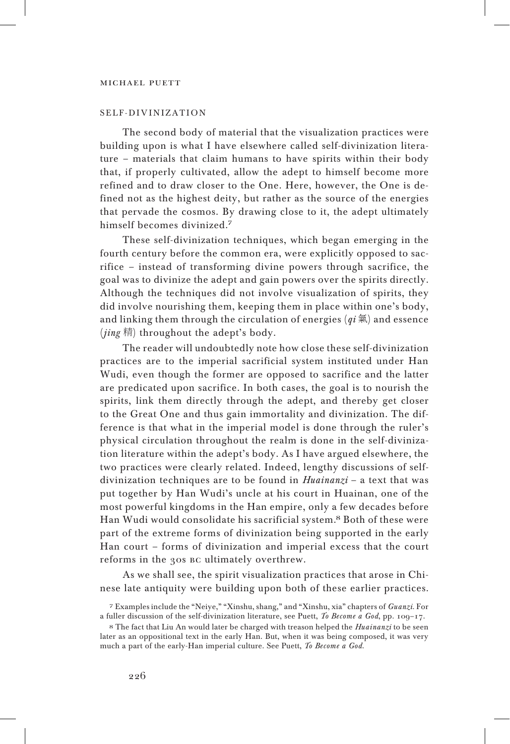## SELF-DIVINIZATION

The second body of material that the visualization practices were building upon is what I have elsewhere called self-divinization literature – materials that claim humans to have spirits within their body that, if properly cultivated, allow the adept to himself become more refined and to draw closer to the One. Here, however, the One is defined not as the highest deity, but rather as the source of the energies that pervade the cosmos. By drawing close to it, the adept ultimately himself becomes divinized.<sup>7</sup>

These self-divinization techniques, which began emerging in the fourth century before the common era, were explicitly opposed to sacrifice – instead of transforming divine powers through sacrifice, the goal was to divinize the adept and gain powers over the spirits directly. Although the techniques did not involve visualization of spirits, they did involve nourishing them, keeping them in place within one's body, and linking them through the circulation of energies (*qi* 氣) and essence (*jing* 精) throughout the adept's body.

The reader will undoubtedly note how close these self-divinization practices are to the imperial sacrificial system instituted under Han Wudi, even though the former are opposed to sacrifice and the latter are predicated upon sacrifice. In both cases, the goal is to nourish the spirits, link them directly through the adept, and thereby get closer to the Great One and thus gain immortality and divinization. The difference is that what in the imperial model is done through the ruler's physical circulation throughout the realm is done in the self-divinization literature within the adept's body. As I have argued elsewhere, the two practices were clearly related. Indeed, lengthy discussions of selfdivinization techniques are to be found in *Huainanzi* – a text that was put together by Han Wudi's uncle at his court in Huainan, one of the most powerful kingdoms in the Han empire, only a few decades before Han Wudi would consolidate his sacrificial system.<sup>8</sup> Both of these were part of the extreme forms of divinization being supported in the early Han court – forms of divinization and imperial excess that the court reforms in the 30s bc ultimately overthrew.

As we shall see, the spirit visualization practices that arose in Chinese late antiquity were building upon both of these earlier practices.

<sup>7</sup> Examples include the "Neiye," "Xinshu, shang," and "Xinshu, xia" chapters of *Guanzi*. For a fuller discussion of the self-divinization literature, see Puett, *To Become a God*, pp. 109–17.

<sup>8</sup> The fact that Liu An would later be charged with treason helped the *Huainanzi* to be seen later as an oppositional text in the early Han. But, when it was being composed, it was very much a part of the early-Han imperial culture. See Puett, *To Become a God*.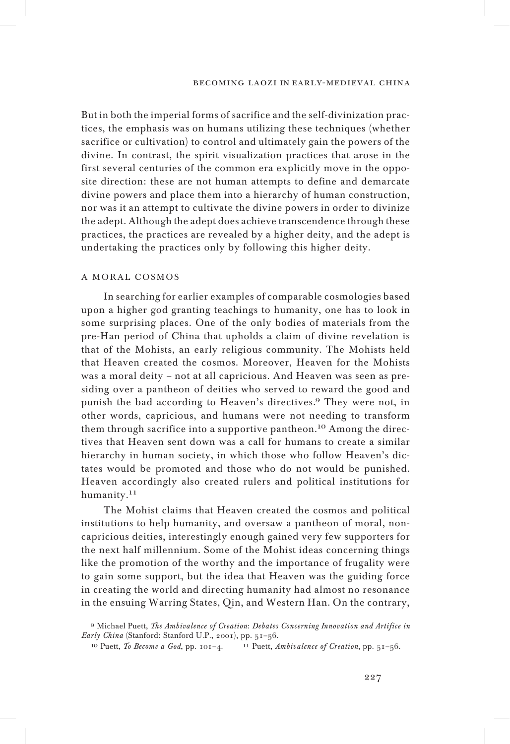#### becoming laozi in early-medieval china

But in both the imperial forms of sacrifice and the self-divinization practices, the emphasis was on humans utilizing these techniques (whether sacrifice or cultivation) to control and ultimately gain the powers of the divine. In contrast, the spirit visualization practices that arose in the first several centuries of the common era explicitly move in the opposite direction: these are not human attempts to define and demarcate divine powers and place them into a hierarchy of human construction, nor was it an attempt to cultivate the divine powers in order to divinize the adept. Although the adept does achieve transcendence through these practices, the practices are revealed by a higher deity, and the adept is undertaking the practices only by following this higher deity.

## A MORAL COSMOS

In searching for earlier examples of comparable cosmologies based upon a higher god granting teachings to humanity, one has to look in some surprising places. One of the only bodies of materials from the pre-Han period of China that upholds a claim of divine revelation is that of the Mohists, an early religious community. The Mohists held that Heaven created the cosmos. Moreover, Heaven for the Mohists was a moral deity – not at all capricious. And Heaven was seen as presiding over a pantheon of deities who served to reward the good and punish the bad according to Heaven's directives.<sup>9</sup> They were not, in other words, capricious, and humans were not needing to transform them through sacrifice into a supportive pantheon.<sup>10</sup> Among the directives that Heaven sent down was a call for humans to create a similar hierarchy in human society, in which those who follow Heaven's dictates would be promoted and those who do not would be punished. Heaven accordingly also created rulers and political institutions for humanity.<sup>11</sup>

The Mohist claims that Heaven created the cosmos and political institutions to help humanity, and oversaw a pantheon of moral, noncapricious deities, interestingly enough gained very few supporters for the next half millennium. Some of the Mohist ideas concerning things like the promotion of the worthy and the importance of frugality were to gain some support, but the idea that Heaven was the guiding force in creating the world and directing humanity had almost no resonance in the ensuing Warring States, Qin, and Western Han. On the contrary,

<sup>9</sup> Michael Puett, *The Ambivalence of Creation*: *Debates Concerning Innovation and Artifice in Early China* (Stanford: Stanford U.P., 2001), pp. 51–56.

<sup>10</sup> Puett, *To Become a God*, pp. 101–4. <sup>11</sup> Puett, *Ambivalence of Creation*, pp. 51–56.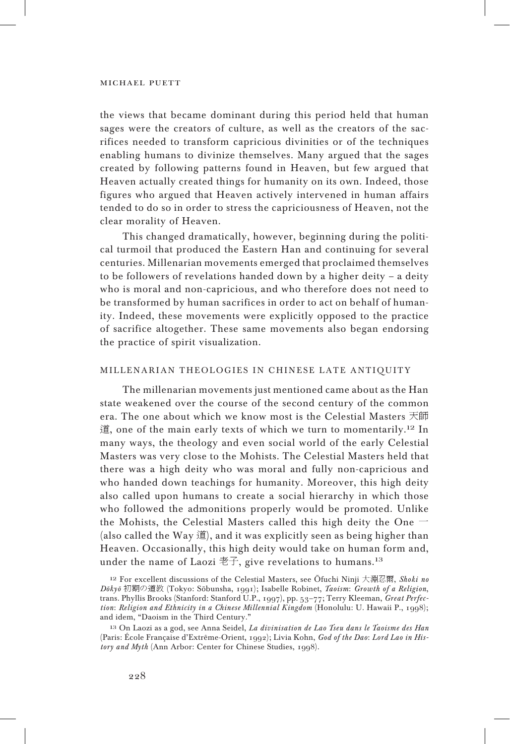the views that became dominant during this period held that human sages were the creators of culture, as well as the creators of the sacrifices needed to transform capricious divinities or of the techniques enabling humans to divinize themselves. Many argued that the sages created by following patterns found in Heaven, but few argued that Heaven actually created things for humanity on its own. Indeed, those figures who argued that Heaven actively intervened in human affairs tended to do so in order to stress the capriciousness of Heaven, not the clear morality of Heaven.

This changed dramatically, however, beginning during the political turmoil that produced the Eastern Han and continuing for several centuries. Millenarian movements emerged that proclaimed themselves to be followers of revelations handed down by a higher deity – a deity who is moral and non-capricious, and who therefore does not need to be transformed by human sacrifices in order to act on behalf of humanity. Indeed, these movements were explicitly opposed to the practice of sacrifice altogether. These same movements also began endorsing the practice of spirit visualization.

## MILLENARIAN THEOLOGIES IN CHINESE LATE ANTIQUITY

The millenarian movements just mentioned came about as the Han state weakened over the course of the second century of the common era. The one about which we know most is the Celestial Masters 天師 道, one of the main early texts of which we turn to momentarily.<sup>12</sup> In many ways, the theology and even social world of the early Celestial Masters was very close to the Mohists. The Celestial Masters held that there was a high deity who was moral and fully non-capricious and who handed down teachings for humanity. Moreover, this high deity also called upon humans to create a social hierarchy in which those who followed the admonitions properly would be promoted. Unlike the Mohists, the Celestial Masters called this high deity the One  $-$ (also called the Way 道), and it was explicitly seen as being higher than Heaven. Occasionally, this high deity would take on human form and, under the name of Laozi  $\overline{z}$ . give revelations to humans.<sup>13</sup>

<sup>12</sup> For excellent discussions of the Celestial Masters, see Šfuchi Ninji 大淵忍爾, *Shoki no D±ky±* 初期の道教 (Tokyo: S±bunsha, 1991); Isabelle Robinet, *Taoism*: *Growth of a Religion*, trans. Phyllis Brooks (Stanford: Stanford U.P., 1997), pp. 53–77; Terry Kleeman, *Great Perfection*: *Religion and Ethnicity in a Chinese Millennial Kingdom* (Honolulu: U. Hawaii P., 1998); and idem, "Daoism in the Third Century."

<sup>13</sup> On Laozi as a god, see Anna Seidel, *La divinisation de Lao Tseu dans le Taoisme des Han* (Paris: École Française d'Extrême-Orient, 1992); Livia Kohn, *God of the Dao*: *Lord Lao in History and Myth* (Ann Arbor: Center for Chinese Studies, 1998).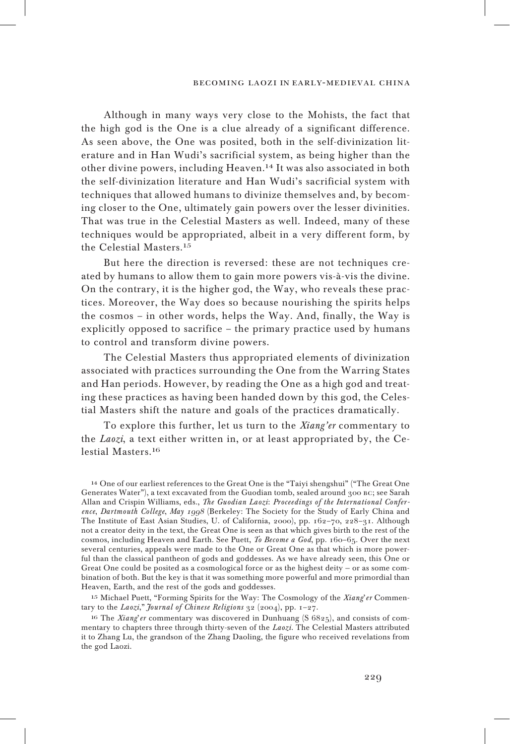#### becoming laozi in early-medieval china

Although in many ways very close to the Mohists, the fact that the high god is the One is a clue already of a significant difference. As seen above, the One was posited, both in the self-divinization literature and in Han Wudi's sacrificial system, as being higher than the other divine powers, including Heaven.<sup>14</sup> It was also associated in both the self-divinization literature and Han Wudi's sacrificial system with techniques that allowed humans to divinize themselves and, by becoming closer to the One, ultimately gain powers over the lesser divinities. That was true in the Celestial Masters as well. Indeed, many of these techniques would be appropriated, albeit in a very different form, by the Celestial Masters.<sup>15</sup>

But here the direction is reversed: these are not techniques created by humans to allow them to gain more powers vis-à-vis the divine. On the contrary, it is the higher god, the Way, who reveals these practices. Moreover, the Way does so because nourishing the spirits helps the cosmos – in other words, helps the Way. And, finally, the Way is explicitly opposed to sacrifice – the primary practice used by humans to control and transform divine powers.

The Celestial Masters thus appropriated elements of divinization associated with practices surrounding the One from the Warring States and Han periods. However, by reading the One as a high god and treating these practices as having been handed down by this god, the Celestial Masters shift the nature and goals of the practices dramatically.

To explore this further, let us turn to the *Xiang'er* commentary to the *Laozi*, a text either written in, or at least appropriated by, the Celestial Masters.<sup>16</sup>

<sup>14</sup> One of our earliest references to the Great One is the "Taiyi shengshui" ("The Great One Generates Water"), a text excavated from the Guodian tomb, sealed around 300 BC; see Sarah Allan and Crispin Williams, eds., *The Guodian Laozi*: *Proceedings of the International Conference*, *Dartmouth College*, *May* <sup>199</sup>8 (Berkeley: The Society for the Study of Early China and The Institute of East Asian Studies, U. of California, 2000), pp. 162–70, 228–31. Although not a creator deity in the text, the Great One is seen as that which gives birth to the rest of the cosmos, including Heaven and Earth. See Puett, *To Become a God*, pp. 160–65. Over the next several centuries, appeals were made to the One or Great One as that which is more powerful than the classical pantheon of gods and goddesses. As we have already seen, this One or Great One could be posited as a cosmological force or as the highest deity — or as some combination of both. But the key is that it was something more powerful and more primordial than Heaven, Earth, and the rest of the gods and goddesses.

<sup>15</sup> Michael Puett, "Forming Spirits for the Way: The Cosmology of the *Xiang*'*er* Commentary to the *Laozi*," *Journal of Chinese Religions* 32 (2004), pp. 1–27.

<sup>16</sup> The *Xiang*'*er* commentary was discovered in Dunhuang (S 6825), and consists of commentary to chapters three through thirty-seven of the *Laozi*. The Celestial Masters attributed it to Zhang Lu, the grandson of the Zhang Daoling, the figure who received revelations from the god Laozi.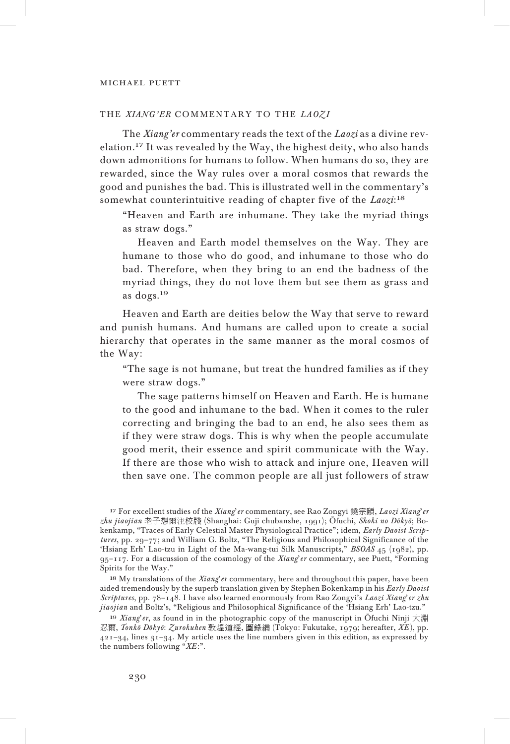## THE *XIANG'ER* COMMENTARY TO THE *LAOZI*

The *Xiang'er* commentary reads the text of the *Laozi* as a divine revelation.<sup>17</sup> It was revealed by the Way, the highest deity, who also hands down admonitions for humans to follow. When humans do so, they are rewarded, since the Way rules over a moral cosmos that rewards the good and punishes the bad. This is illustrated well in the commentary's somewhat counterintuitive reading of chapter five of the *Laozi*: 18

"Heaven and Earth are inhumane. They take the myriad things as straw dogs."

Heaven and Earth model themselves on the Way. They are humane to those who do good, and inhumane to those who do bad. Therefore, when they bring to an end the badness of the myriad things, they do not love them but see them as grass and as dogs.<sup>19</sup>

Heaven and Earth are deities below the Way that serve to reward and punish humans. And humans are called upon to create a social hierarchy that operates in the same manner as the moral cosmos of the Way:

"The sage is not humane, but treat the hundred families as if they were straw dogs."

The sage patterns himself on Heaven and Earth. He is humane to the good and inhumane to the bad. When it comes to the ruler correcting and bringing the bad to an end, he also sees them as if they were straw dogs. This is why when the people accumulate good merit, their essence and spirit communicate with the Way. If there are those who wish to attack and injure one, Heaven will then save one. The common people are all just followers of straw

<sup>17</sup> For excellent studies of the *Xiang*'*er* commentary, see Rao Zongyi 饒宗頤, *Laozi Xiang*'*er zhu jiaojian* 老子想爾注校牋 (Shanghai: Guji chubanshe, 1991); Šfuchi, *Shoki no D±ky±*; Bokenkamp, "Traces of Early Celestial Master Physiological Practice"; idem, *Early Daoist Scriptures*, pp. 29–77; and William G. Boltz, "The Religious and Philosophical Significance of the 'Hsiang Erh' Lao-tzu in Light of the Ma-wang-tui Silk Manuscripts," *BSOAS* 45 (1982), pp. 95–117. For a discussion of the cosmology of the *Xiang*'*er* commentary, see Puett, "Forming Spirits for the Way."

<sup>18</sup> My translations of the *Xiang*'*er* commentary, here and throughout this paper, have been aided tremendously by the superb translation given by Stephen Bokenkamp in his *Early Daoist Scriptures*, pp. 78–148. I have also learned enormously from Rao Zongyi's *Laozi Xiang*'*er zhu jiaojian* and Boltz's, "Religious and Philosophical Significance of the 'Hsiang Erh' Lao-tzu."

<sup>19</sup> *Xiang*'*er*, as found in in the photographic copy of the manuscript in Šfuchi Ninji 大淵 忍爾, *Tonk± D±ky±*: *Zurokuhen* 敦煌道經, 圖錄編 (Tokyo: Fukutake, 1979; hereafter, *XE* ), pp.  $421-34$ , lines  $31-34$ . My article uses the line numbers given in this edition, as expressed by the numbers following "*XE* :".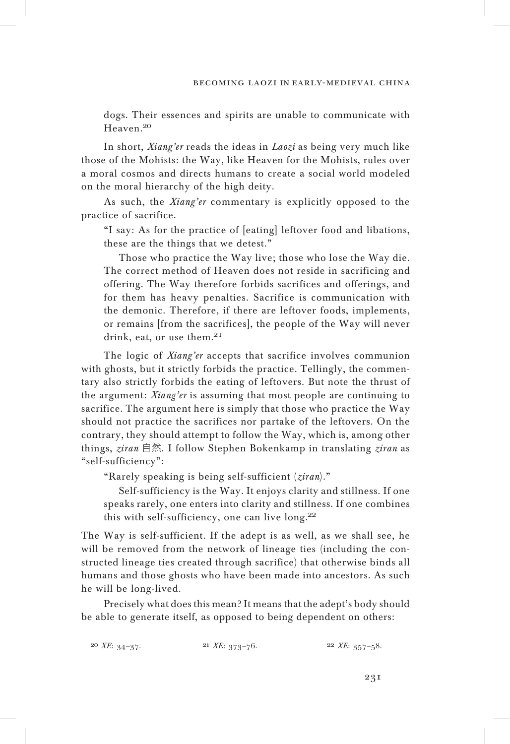dogs. Their essences and spirits are unable to communicate with Heaven.<sup>20</sup>

In short, *Xiang'er* reads the ideas in *Laozi* as being very much like those of the Mohists: the Way, like Heaven for the Mohists, rules over a moral cosmos and directs humans to create a social world modeled on the moral hierarchy of the high deity.

As such, the *Xiang'er* commentary is explicitly opposed to the practice of sacrifice.

"I say: As for the practice of [eating] leftover food and libations, these are the things that we detest."

Those who practice the Way live; those who lose the Way die. The correct method of Heaven does not reside in sacrificing and offering. The Way therefore forbids sacrifices and offerings, and for them has heavy penalties. Sacrifice is communication with the demonic. Therefore, if there are leftover foods, implements, or remains [from the sacrifices], the people of the Way will never drink, eat, or use them.<sup>21</sup>

The logic of *Xiang'er* accepts that sacrifice involves communion with ghosts, but it strictly forbids the practice. Tellingly, the commentary also strictly forbids the eating of leftovers. But note the thrust of the argument: *Xiang'er* is assuming that most people are continuing to sacrifice. The argument here is simply that those who practice the Way should not practice the sacrifices nor partake of the leftovers. On the contrary, they should attempt to follow the Way, which is, among other things, *ziran* 自然. I follow Stephen Bokenkamp in translating *ziran* as "self-sufficiency":

"Rarely speaking is being self-sufficient (*ziran*)."

Self-sufficiency is the Way. It enjoys clarity and stillness. If one speaks rarely, one enters into clarity and stillness. If one combines this with self-sufficiency, one can live long.<sup>22</sup>

The Way is self-sufficient. If the adept is as well, as we shall see, he will be removed from the network of lineage ties (including the constructed lineage ties created through sacrifice) that otherwise binds all humans and those ghosts who have been made into ancestors. As such he will be long-lived.

Precisely what does this mean? It means that the adept's body should be able to generate itself, as opposed to being dependent on others:

<sup>20</sup> *XE*: 34–37. <sup>21</sup> *XE*: 373–76. <sup>22</sup> *XE*: 357–58.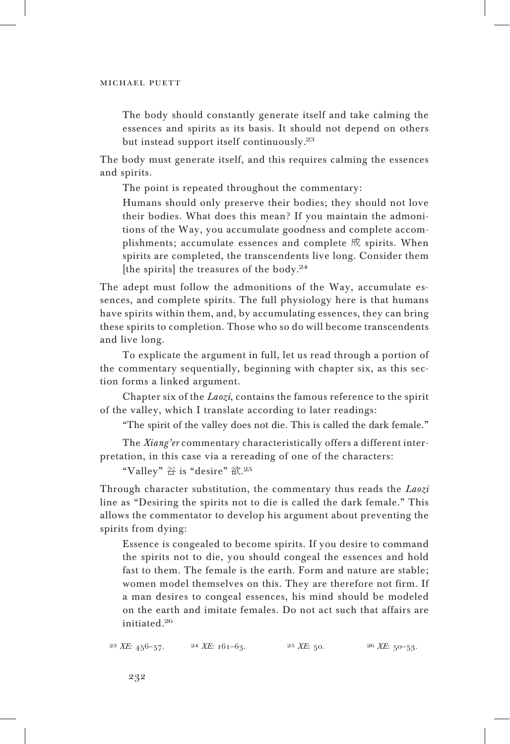The body should constantly generate itself and take calming the essences and spirits as its basis. It should not depend on others but instead support itself continuously.<sup>23</sup>

The body must generate itself, and this requires calming the essences and spirits.

The point is repeated throughout the commentary:

Humans should only preserve their bodies; they should not love their bodies. What does this mean? If you maintain the admonitions of the Way, you accumulate goodness and complete accomplishments; accumulate essences and complete 成 spirits. When spirits are completed, the transcendents live long. Consider them [the spirits] the treasures of the body.<sup>24</sup>

The adept must follow the admonitions of the Way, accumulate essences, and complete spirits. The full physiology here is that humans have spirits within them, and, by accumulating essences, they can bring these spirits to completion. Those who so do will become transcendents and live long.

To explicate the argument in full, let us read through a portion of the commentary sequentially, beginning with chapter six, as this section forms a linked argument.

Chapter six of the *Laozi*, contains the famous reference to the spirit of the valley, which I translate according to later readings:

"The spirit of the valley does not die. This is called the dark female."

The *Xiang'er* commentary characteristically offers a different interpretation, in this case via a rereading of one of the characters:

"Valley" 谷 is "desire" 欲. 25

Through character substitution, the commentary thus reads the *Laozi* line as "Desiring the spirits not to die is called the dark female." This allows the commentator to develop his argument about preventing the spirits from dying:

Essence is congealed to become spirits. If you desire to command the spirits not to die, you should congeal the essences and hold fast to them. The female is the earth. Form and nature are stable; women model themselves on this. They are therefore not firm. If a man desires to congeal essences, his mind should be modeled on the earth and imitate females. Do not act such that affairs are initiated.<sup>26</sup>

<sup>23</sup> *XE*: 456–57. <sup>24</sup> *XE*: 161–63. <sup>25</sup> *XE*: 50. <sup>26</sup> *XE*: 50–53.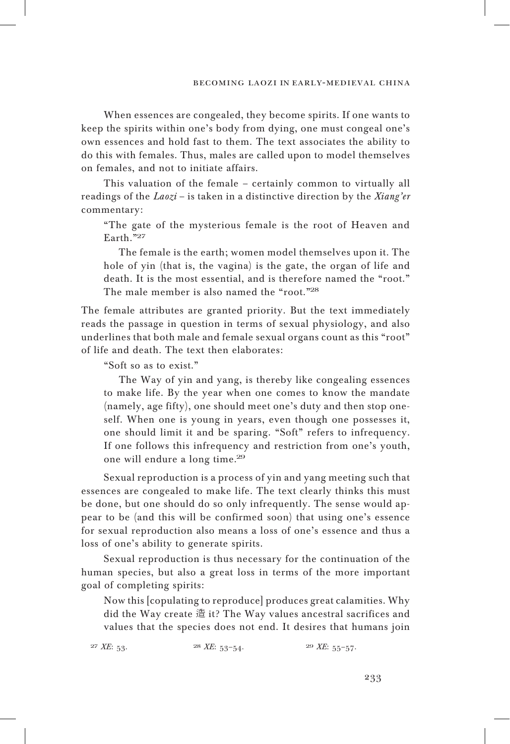When essences are congealed, they become spirits. If one wants to keep the spirits within one's body from dying, one must congeal one's own essences and hold fast to them. The text associates the ability to do this with females. Thus, males are called upon to model themselves on females, and not to initiate affairs.

This valuation of the female – certainly common to virtually all readings of the *Laozi* – is taken in a distinctive direction by the *Xiang'er* commentary:

"The gate of the mysterious female is the root of Heaven and Earth."<sup>27</sup>

The female is the earth; women model themselves upon it. The hole of yin (that is, the vagina) is the gate, the organ of life and death. It is the most essential, and is therefore named the "root." The male member is also named the "root."28

The female attributes are granted priority. But the text immediately reads the passage in question in terms of sexual physiology, and also underlines that both male and female sexual organs count as this "root" of life and death. The text then elaborates:

"Soft so as to exist."

The Way of yin and yang, is thereby like congealing essences to make life. By the year when one comes to know the mandate (namely, age fifty), one should meet one's duty and then stop oneself. When one is young in years, even though one possesses it, one should limit it and be sparing. "Soft" refers to infrequency. If one follows this infrequency and restriction from one's youth, one will endure a long time.<sup>29</sup>

Sexual reproduction is a process of yin and yang meeting such that essences are congealed to make life. The text clearly thinks this must be done, but one should do so only infrequently. The sense would appear to be (and this will be confirmed soon) that using one's essence for sexual reproduction also means a loss of one's essence and thus a loss of one's ability to generate spirits.

Sexual reproduction is thus necessary for the continuation of the human species, but also a great loss in terms of the more important goal of completing spirits:

Now this [copulating to reproduce] produces great calamities. Why did the Way create 造 it? The Way values ancestral sacrifices and values that the species does not end. It desires that humans join

<sup>27</sup> *XE*: 53. <sup>28</sup> *XE*: 53–54. <sup>29</sup> *XE*: 55–57.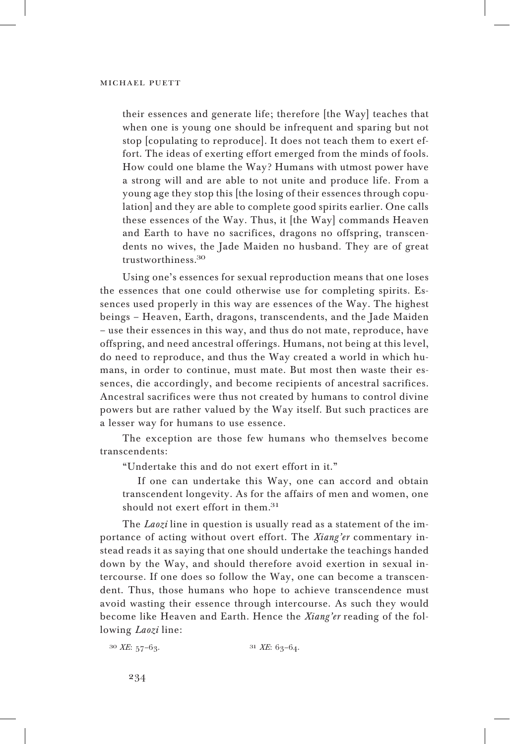their essences and generate life; therefore [the Way] teaches that when one is young one should be infrequent and sparing but not stop [copulating to reproduce]. It does not teach them to exert effort. The ideas of exerting effort emerged from the minds of fools. How could one blame the Way? Humans with utmost power have a strong will and are able to not unite and produce life. From a young age they stop this [the losing of their essences through copulation] and they are able to complete good spirits earlier. One calls these essences of the Way. Thus, it [the Way] commands Heaven and Earth to have no sacrifices, dragons no offspring, transcendents no wives, the Jade Maiden no husband. They are of great trustworthiness.<sup>30</sup>

Using one's essences for sexual reproduction means that one loses the essences that one could otherwise use for completing spirits. Essences used properly in this way are essences of the Way. The highest beings – Heaven, Earth, dragons, transcendents, and the Jade Maiden – use their essences in this way, and thus do not mate, reproduce, have offspring, and need ancestral offerings. Humans, not being at this level, do need to reproduce, and thus the Way created a world in which humans, in order to continue, must mate. But most then waste their essences, die accordingly, and become recipients of ancestral sacrifices. Ancestral sacrifices were thus not created by humans to control divine powers but are rather valued by the Way itself. But such practices are a lesser way for humans to use essence.

The exception are those few humans who themselves become transcendents:

"Undertake this and do not exert effort in it."

If one can undertake this Way, one can accord and obtain transcendent longevity. As for the affairs of men and women, one should not exert effort in them.<sup>31</sup>

The *Laozi* line in question is usually read as a statement of the importance of acting without overt effort. The *Xiang'er* commentary instead reads it as saying that one should undertake the teachings handed down by the Way, and should therefore avoid exertion in sexual intercourse. If one does so follow the Way, one can become a transcendent. Thus, those humans who hope to achieve transcendence must avoid wasting their essence through intercourse. As such they would become like Heaven and Earth. Hence the *Xiang'er* reading of the following *Laozi* line:

<sup>30</sup> *XE*: 57–63. <sup>31</sup> *XE*: 63–64.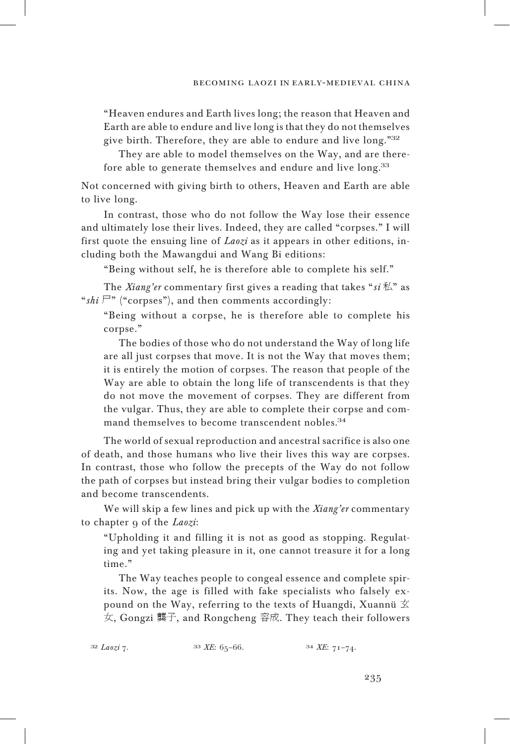"Heaven endures and Earth lives long; the reason that Heaven and Earth are able to endure and live long is that they do not themselves give birth. Therefore, they are able to endure and live long."<sup>32</sup>

They are able to model themselves on the Way, and are therefore able to generate themselves and endure and live long.<sup>33</sup>

Not concerned with giving birth to others, Heaven and Earth are able to live long.

In contrast, those who do not follow the Way lose their essence and ultimately lose their lives. Indeed, they are called "corpses." I will first quote the ensuing line of *Laozi* as it appears in other editions, including both the Mawangdui and Wang Bi editions:

"Being without self, he is therefore able to complete his self."

The *Xiang'er* commentary first gives a reading that takes "*si* 私" as " $\sin \mathbb{F}$ " ("corpses"), and then comments accordingly:

"Being without a corpse, he is therefore able to complete his corpse."

The bodies of those who do not understand the Way of long life are all just corpses that move. It is not the Way that moves them; it is entirely the motion of corpses. The reason that people of the Way are able to obtain the long life of transcendents is that they do not move the movement of corpses. They are different from the vulgar. Thus, they are able to complete their corpse and command themselves to become transcendent nobles.<sup>34</sup>

The world of sexual reproduction and ancestral sacrifice is also one of death, and those humans who live their lives this way are corpses. In contrast, those who follow the precepts of the Way do not follow the path of corpses but instead bring their vulgar bodies to completion and become transcendents.

We will skip a few lines and pick up with the *Xiang'er* commentary to chapter 9 of the *Laozi*:

"Upholding it and filling it is not as good as stopping. Regulating and yet taking pleasure in it, one cannot treasure it for a long time."

The Way teaches people to congeal essence and complete spirits. Now, the age is filled with fake specialists who falsely expound on the Way, referring to the texts of Huangdi, Xuannü  $\overline{\mathfrak{X}}$ 女, Gongzi 龔子, and Rongcheng 容成. They teach their followers

| $33$ XE: 65-66. | $34$ XE: $71-74$ . |
|-----------------|--------------------|
|-----------------|--------------------|

32 *Laozi* 7.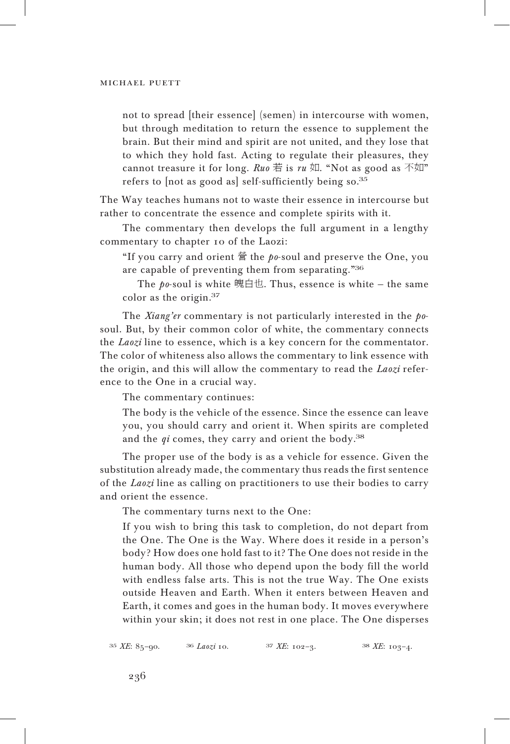not to spread [their essence] (semen) in intercourse with women, but through meditation to return the essence to supplement the brain. But their mind and spirit are not united, and they lose that to which they hold fast. Acting to regulate their pleasures, they cannot treasure it for long. *Ruo* 若 is  $ru$  如. "Not as good as 不如" refers to [not as good as] self-sufficiently being so.<sup>35</sup>

The Way teaches humans not to waste their essence in intercourse but rather to concentrate the essence and complete spirits with it.

The commentary then develops the full argument in a lengthy commentary to chapter 10 of the Laozi:

"If you carry and orient 營 the *po*-soul and preserve the One, you are capable of preventing them from separating."<sup>36</sup>

The *po*-soul is white 魄白也. Thus, essence is white — the same color as the origin.<sup>37</sup>

The *Xiang'er* commentary is not particularly interested in the *po*soul. But, by their common color of white, the commentary connects the *Laozi* line to essence, which is a key concern for the commentator. The color of whiteness also allows the commentary to link essence with the origin, and this will allow the commentary to read the *Laozi* reference to the One in a crucial way.

The commentary continues:

The body is the vehicle of the essence. Since the essence can leave you, you should carry and orient it. When spirits are completed and the *qi* comes, they carry and orient the body.<sup>38</sup>

The proper use of the body is as a vehicle for essence. Given the substitution already made, the commentary thus reads the first sentence of the *Laozi* line as calling on practitioners to use their bodies to carry and orient the essence.

The commentary turns next to the One:

If you wish to bring this task to completion, do not depart from the One. The One is the Way. Where does it reside in a person's body? How does one hold fast to it? The One does not reside in the human body. All those who depend upon the body fill the world with endless false arts. This is not the true Way. The One exists outside Heaven and Earth. When it enters between Heaven and Earth, it comes and goes in the human body. It moves everywhere within your skin; it does not rest in one place. The One disperses

<sup>35</sup> *XE*: 85–90. <sup>36</sup> *Laozi* 10. <sup>37</sup> *XE*: 102–3. <sup>38</sup> *XE*: 103–4.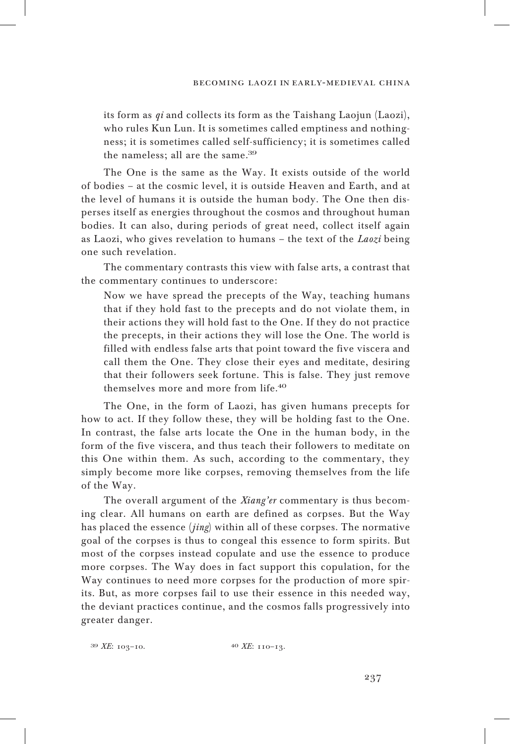its form as *qi* and collects its form as the Taishang Laojun (Laozi), who rules Kun Lun. It is sometimes called emptiness and nothingness; it is sometimes called self-sufficiency; it is sometimes called the nameless; all are the same.<sup>39</sup>

The One is the same as the Way. It exists outside of the world of bodies – at the cosmic level, it is outside Heaven and Earth, and at the level of humans it is outside the human body. The One then disperses itself as energies throughout the cosmos and throughout human bodies. It can also, during periods of great need, collect itself again as Laozi, who gives revelation to humans – the text of the *Laozi* being one such revelation.

The commentary contrasts this view with false arts, a contrast that the commentary continues to underscore:

Now we have spread the precepts of the Way, teaching humans that if they hold fast to the precepts and do not violate them, in their actions they will hold fast to the One. If they do not practice the precepts, in their actions they will lose the One. The world is filled with endless false arts that point toward the five viscera and call them the One. They close their eyes and meditate, desiring that their followers seek fortune. This is false. They just remove themselves more and more from life.<sup>40</sup>

The One, in the form of Laozi, has given humans precepts for how to act. If they follow these, they will be holding fast to the One. In contrast, the false arts locate the One in the human body, in the form of the five viscera, and thus teach their followers to meditate on this One within them. As such, according to the commentary, they simply become more like corpses, removing themselves from the life of the Way.

The overall argument of the *Xiang'er* commentary is thus becoming clear. All humans on earth are defined as corpses. But the Way has placed the essence (*jing*) within all of these corpses. The normative goal of the corpses is thus to congeal this essence to form spirits. But most of the corpses instead copulate and use the essence to produce more corpses. The Way does in fact support this copulation, for the Way continues to need more corpses for the production of more spirits. But, as more corpses fail to use their essence in this needed way, the deviant practices continue, and the cosmos falls progressively into greater danger.

<sup>39</sup> *XE*: 103–10. <sup>40</sup> *XE*: 110–13.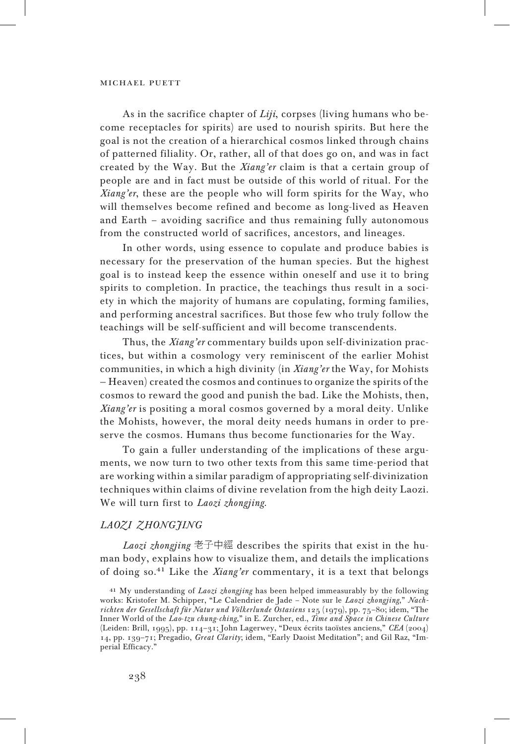As in the sacrifice chapter of *Liji*, corpses (living humans who become receptacles for spirits) are used to nourish spirits. But here the goal is not the creation of a hierarchical cosmos linked through chains of patterned filiality. Or, rather, all of that does go on, and was in fact created by the Way. But the *Xiang'er* claim is that a certain group of people are and in fact must be outside of this world of ritual. For the *Xiang'er*, these are the people who will form spirits for the Way, who will themselves become refined and become as long-lived as Heaven and Earth – avoiding sacrifice and thus remaining fully autonomous from the constructed world of sacrifices, ancestors, and lineages.

In other words, using essence to copulate and produce babies is necessary for the preservation of the human species. But the highest goal is to instead keep the essence within oneself and use it to bring spirits to completion. In practice, the teachings thus result in a society in which the majority of humans are copulating, forming families, and performing ancestral sacrifices. But those few who truly follow the teachings will be self-sufficient and will become transcendents.

Thus, the *Xiang'er* commentary builds upon self-divinization practices, but within a cosmology very reminiscent of the earlier Mohist communities, in which a high divinity (in *Xiang'er* the Way, for Mohists — Heaven) created the cosmos and continues to organize the spirits of the cosmos to reward the good and punish the bad. Like the Mohists, then, *Xiang'er* is positing a moral cosmos governed by a moral deity. Unlike the Mohists, however, the moral deity needs humans in order to preserve the cosmos. Humans thus become functionaries for the Way.

To gain a fuller understanding of the implications of these arguments, we now turn to two other texts from this same time-period that are working within a similar paradigm of appropriating self-divinization techniques within claims of divine revelation from the high deity Laozi. We will turn first to *Laozi zhongjing*.

## *Laozi zhong jin g*

*Laozi zhongjing* 老子中經 describes the spirits that exist in the human body, explains how to visualize them, and details the implications of doing so.<sup>41</sup> Like the *Xiang'er* commentary, it is a text that belongs

<sup>41</sup> My understanding of *Laozi zhongjing* has been helped immeasurably by the following works: Kristofer M. Schipper, "Le Calendrier de Jade – Note sur le *Laozi zhongjing*," *Nachrichten der Gesellschaft für Natur und Völkerlunde Ostasiens* 125 (1979), pp. 75–80; idem, "The Inner World of the *Lao*-*tzu chung*-*ching*," in E. Zurcher, ed., *Time and Space in Chinese Culture* (Leiden: Brill, 1995), pp. 114–31; John Lagerwey, "Deux écrits taoïstes anciens," *CEA* (2004) 14, pp. 139–71; Pregadio, *Great Clarity*; idem, "Early Daoist Meditation"; and Gil Raz, "Imperial Efficacy."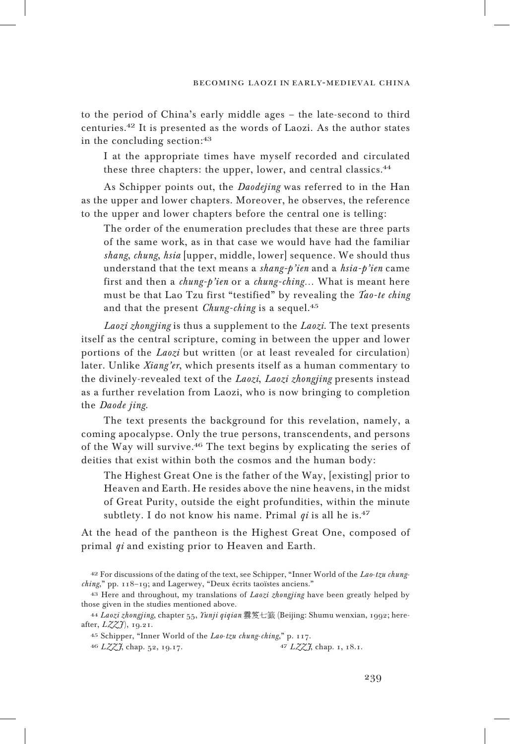to the period of China's early middle ages – the late-second to third centuries.<sup>42</sup> It is presented as the words of Laozi. As the author states in the concluding section:<sup>43</sup>

I at the appropriate times have myself recorded and circulated these three chapters: the upper, lower, and central classics.<sup>44</sup>

As Schipper points out, the *Daodejing* was referred to in the Han as the upper and lower chapters. Moreover, he observes, the reference to the upper and lower chapters before the central one is telling:

The order of the enumeration precludes that these are three parts of the same work, as in that case we would have had the familiar *shang*, *chung*, *hsia* [upper, middle, lower] sequence. We should thus understand that the text means a *shang-p'ien* and a *hsia-p'ien* came first and then a *chung-p'ien* or a *chung-ching*… What is meant here must be that Lao Tzu first "testified" by revealing the *Tao-te ching* and that the present *Chung-ching* is a sequel.<sup>45</sup>

*Laozi zhongjing* is thus a supplement to the *Laozi*. The text presents itself as the central scripture, coming in between the upper and lower portions of the *Laozi* but written (or at least revealed for circulation) later. Unlike *Xiang'er*, which presents itself as a human commentary to the divinely-revealed text of the *Laozi*, *Laozi zhongjing* presents instead as a further revelation from Laozi, who is now bringing to completion the *Daode jing*.

The text presents the background for this revelation, namely, a coming apocalypse. Only the true persons, transcendents, and persons of the Way will survive.<sup>46</sup> The text begins by explicating the series of deities that exist within both the cosmos and the human body:

The Highest Great One is the father of the Way, [existing] prior to Heaven and Earth. He resides above the nine heavens, in the midst of Great Purity, outside the eight profundities, within the minute subtlety. I do not know his name. Primal *qi* is all he is.<sup>47</sup>

At the head of the pantheon is the Highest Great One, composed of primal *qi* and existing prior to Heaven and Earth.

<sup>42</sup> For discussions of the dating of the text, see Schipper, "Inner World of the *Lao*-*tzu chungching*," pp. 118–19; and Lagerwey, "Deux écrits taoïstes anciens."

<sup>43</sup> Here and throughout, my translations of *Laozi zhongjing* have been greatly helped by those given in the studies mentioned above.

<sup>44</sup> *Laozi zhongjing*, chapter 55, *Yunji qiqian* 雲笈七籖 (Beijing: Shumu wenxian, 1992; hereafter, *L ZZ J* ), 19.21.

<sup>45</sup> Schipper, "Inner World of the *Lao*-*tzu chung*-*ching*," p. 117.

<sup>46</sup> *L ZZ J*, chap. 52, 19.17. <sup>47</sup> *L ZZ J*, chap. 1, 18.1.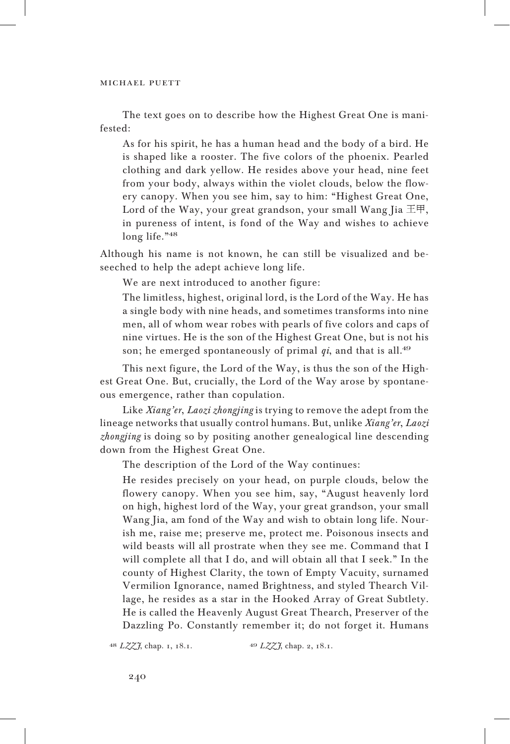The text goes on to describe how the Highest Great One is manifested:

As for his spirit, he has a human head and the body of a bird. He is shaped like a rooster. The five colors of the phoenix. Pearled clothing and dark yellow. He resides above your head, nine feet from your body, always within the violet clouds, below the flowery canopy. When you see him, say to him: "Highest Great One, Lord of the Way, your great grandson, your small Wang Jia  $\pm \mathbb{F}$ , in pureness of intent, is fond of the Way and wishes to achieve long life."48

Although his name is not known, he can still be visualized and beseeched to help the adept achieve long life.

We are next introduced to another figure:

The limitless, highest, original lord, is the Lord of the Way. He has a single body with nine heads, and sometimes transforms into nine men, all of whom wear robes with pearls of five colors and caps of nine virtues. He is the son of the Highest Great One, but is not his son; he emerged spontaneously of primal *qi*, and that is all.<sup>49</sup>

This next figure, the Lord of the Way, is thus the son of the Highest Great One. But, crucially, the Lord of the Way arose by spontaneous emergence, rather than copulation.

Like *Xiang'er*, *Laozi zhongjing* is trying to remove the adept from the lineage networks that usually control humans. But, unlike *Xiang'er*, *Laozi zhongjing* is doing so by positing another genealogical line descending down from the Highest Great One.

The description of the Lord of the Way continues:

He resides precisely on your head, on purple clouds, below the flowery canopy. When you see him, say, "August heavenly lord on high, highest lord of the Way, your great grandson, your small Wang Jia, am fond of the Way and wish to obtain long life. Nourish me, raise me; preserve me, protect me. Poisonous insects and wild beasts will all prostrate when they see me. Command that I will complete all that I do, and will obtain all that I seek." In the county of Highest Clarity, the town of Empty Vacuity, surnamed Vermilion Ignorance, named Brightness, and styled Thearch Village, he resides as a star in the Hooked Array of Great Subtlety. He is called the Heavenly August Great Thearch, Preserver of the Dazzling Po. Constantly remember it; do not forget it. Humans

<sup>48</sup> *L ZZ J*, chap. 1, 18.1. <sup>49</sup> *L ZZ J*, chap. 2, 18.1.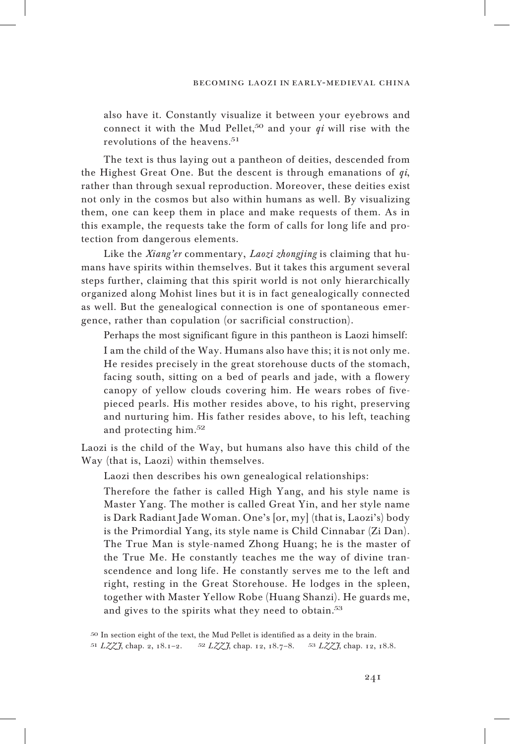also have it. Constantly visualize it between your eyebrows and connect it with the Mud Pellet,<sup>50</sup> and your  $qi$  will rise with the revolutions of the heavens.<sup>51</sup>

The text is thus laying out a pantheon of deities, descended from the Highest Great One. But the descent is through emanations of *qi*, rather than through sexual reproduction. Moreover, these deities exist not only in the cosmos but also within humans as well. By visualizing them, one can keep them in place and make requests of them. As in this example, the requests take the form of calls for long life and protection from dangerous elements.

Like the *Xiang'er* commentary, *Laozi zhongjing* is claiming that humans have spirits within themselves. But it takes this argument several steps further, claiming that this spirit world is not only hierarchically organized along Mohist lines but it is in fact genealogically connected as well. But the genealogical connection is one of spontaneous emergence, rather than copulation (or sacrificial construction).

Perhaps the most significant figure in this pantheon is Laozi himself: I am the child of the Way. Humans also have this; it is not only me. He resides precisely in the great storehouse ducts of the stomach, facing south, sitting on a bed of pearls and jade, with a flowery canopy of yellow clouds covering him. He wears robes of fivepieced pearls. His mother resides above, to his right, preserving and nurturing him. His father resides above, to his left, teaching and protecting him.<sup>52</sup>

Laozi is the child of the Way, but humans also have this child of the Way (that is, Laozi) within themselves.

Laozi then describes his own genealogical relationships:

Therefore the father is called High Yang, and his style name is Master Yang. The mother is called Great Yin, and her style name is Dark Radiant Jade Woman. One's [or, my] (that is, Laozi's) body is the Primordial Yang, its style name is Child Cinnabar (Zi Dan). The True Man is style-named Zhong Huang; he is the master of the True Me. He constantly teaches me the way of divine transcendence and long life. He constantly serves me to the left and right, resting in the Great Storehouse. He lodges in the spleen, together with Master Yellow Robe (Huang Shanzi). He guards me, and gives to the spirits what they need to obtain.<sup>53</sup>

<sup>50</sup> In section eight of the text, the Mud Pellet is identified as a deity in the brain.

<sup>51</sup> *L ZZ J*, chap. 2, 18.1–2. <sup>52</sup> *L ZZ J*, chap. 12, 18.7–8. <sup>53</sup> *L ZZ J*, chap. 12, 18.8.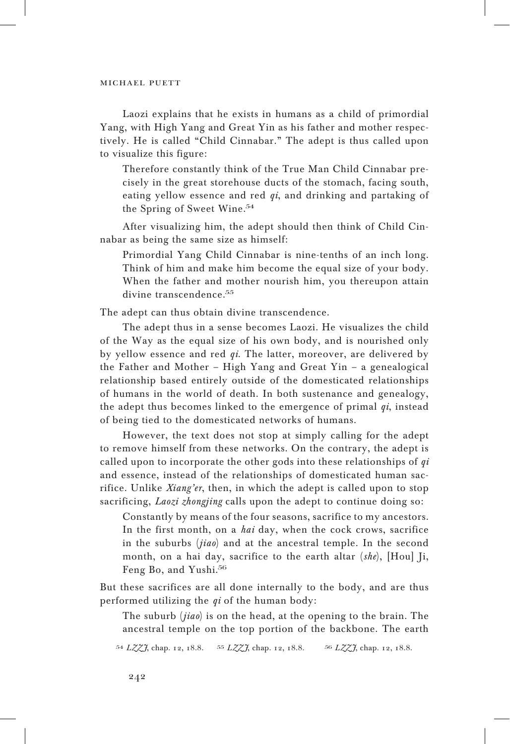Laozi explains that he exists in humans as a child of primordial Yang, with High Yang and Great Yin as his father and mother respectively. He is called "Child Cinnabar." The adept is thus called upon to visualize this figure:

Therefore constantly think of the True Man Child Cinnabar precisely in the great storehouse ducts of the stomach, facing south, eating yellow essence and red *qi*, and drinking and partaking of the Spring of Sweet Wine.<sup>54</sup>

After visualizing him, the adept should then think of Child Cinnabar as being the same size as himself:

Primordial Yang Child Cinnabar is nine-tenths of an inch long. Think of him and make him become the equal size of your body. When the father and mother nourish him, you thereupon attain divine transcendence.<sup>55</sup>

The adept can thus obtain divine transcendence.

The adept thus in a sense becomes Laozi. He visualizes the child of the Way as the equal size of his own body, and is nourished only by yellow essence and red *qi*. The latter, moreover, are delivered by the Father and Mother – High Yang and Great Yin – a genealogical relationship based entirely outside of the domesticated relationships of humans in the world of death. In both sustenance and genealogy, the adept thus becomes linked to the emergence of primal *qi*, instead of being tied to the domesticated networks of humans.

However, the text does not stop at simply calling for the adept to remove himself from these networks. On the contrary, the adept is called upon to incorporate the other gods into these relationships of *qi* and essence, instead of the relationships of domesticated human sacrifice. Unlike *Xiang'er*, then, in which the adept is called upon to stop sacrificing, *Laozi zhongjing* calls upon the adept to continue doing so:

Constantly by means of the four seasons, sacrifice to my ancestors. In the first month, on a *hai* day, when the cock crows, sacrifice in the suburbs (*jiao*) and at the ancestral temple. In the second month, on a hai day, sacrifice to the earth altar (*she*), [Hou] Ji, Feng Bo, and Yushi.<sup>56</sup>

But these sacrifices are all done internally to the body, and are thus performed utilizing the *qi* of the human body:

The suburb (*jiao*) is on the head, at the opening to the brain. The ancestral temple on the top portion of the backbone. The earth

<sup>54</sup> *L ZZ J*, chap. 12, 18.8. <sup>55</sup> *L ZZ J*, chap. 12, 18.8. <sup>56</sup> *L ZZ J*, chap. 12, 18.8.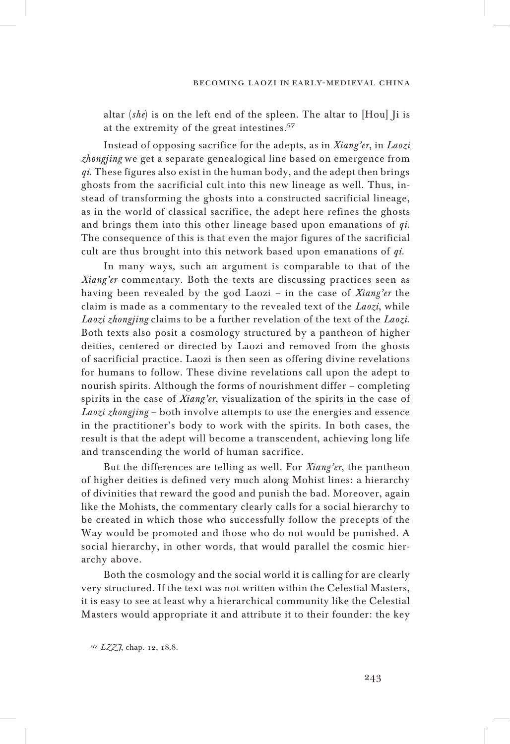altar (*she*) is on the left end of the spleen. The altar to [Hou] Ji is at the extremity of the great intestines.<sup>57</sup>

Instead of opposing sacrifice for the adepts, as in *Xiang'er*, in *Laozi zhongjing* we get a separate genealogical line based on emergence from *qi*. These figures also exist in the human body, and the adept then brings ghosts from the sacrificial cult into this new lineage as well. Thus, instead of transforming the ghosts into a constructed sacrificial lineage, as in the world of classical sacrifice, the adept here refines the ghosts and brings them into this other lineage based upon emanations of *qi*. The consequence of this is that even the major figures of the sacrificial cult are thus brought into this network based upon emanations of *qi*.

In many ways, such an argument is comparable to that of the *Xiang'er* commentary. Both the texts are discussing practices seen as having been revealed by the god Laozi – in the case of *Xiang'er* the claim is made as a commentary to the revealed text of the *Laozi*, while *Laozi zhongjing* claims to be a further revelation of the text of the *Laozi*. Both texts also posit a cosmology structured by a pantheon of higher deities, centered or directed by Laozi and removed from the ghosts of sacrificial practice. Laozi is then seen as offering divine revelations for humans to follow. These divine revelations call upon the adept to nourish spirits. Although the forms of nourishment differ – completing spirits in the case of *Xiang'er*, visualization of the spirits in the case of *Laozi zhongjing* – both involve attempts to use the energies and essence in the practitioner's body to work with the spirits. In both cases, the result is that the adept will become a transcendent, achieving long life and transcending the world of human sacrifice.

But the differences are telling as well. For *Xiang'er*, the pantheon of higher deities is defined very much along Mohist lines: a hierarchy of divinities that reward the good and punish the bad. Moreover, again like the Mohists, the commentary clearly calls for a social hierarchy to be created in which those who successfully follow the precepts of the Way would be promoted and those who do not would be punished. A social hierarchy, in other words, that would parallel the cosmic hierarchy above.

Both the cosmology and the social world it is calling for are clearly very structured. If the text was not written within the Celestial Masters, it is easy to see at least why a hierarchical community like the Celestial Masters would appropriate it and attribute it to their founder: the key

<sup>57</sup> *L ZZ J*, chap. 12, 18.8.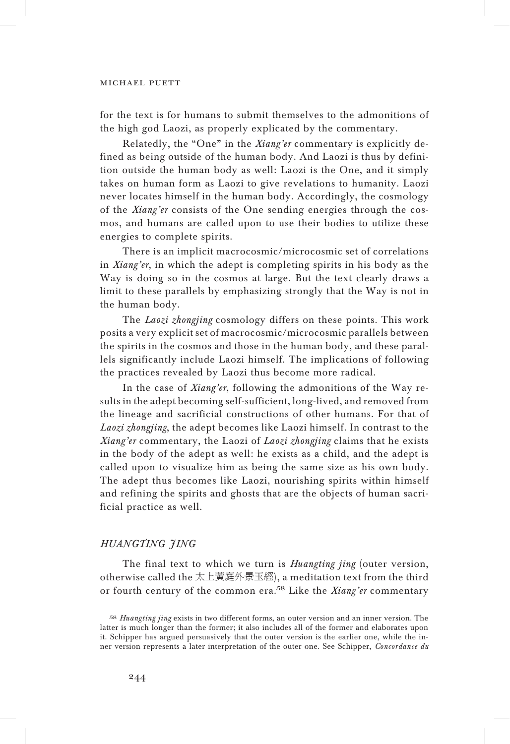for the text is for humans to submit themselves to the admonitions of the high god Laozi, as properly explicated by the commentary.

Relatedly, the "One" in the *Xiang'er* commentary is explicitly defined as being outside of the human body. And Laozi is thus by definition outside the human body as well: Laozi is the One, and it simply takes on human form as Laozi to give revelations to humanity. Laozi never locates himself in the human body. Accordingly, the cosmology of the *Xiang'er* consists of the One sending energies through the cosmos, and humans are called upon to use their bodies to utilize these energies to complete spirits.

There is an implicit macrocosmic/microcosmic set of correlations in *Xiang'er*, in which the adept is completing spirits in his body as the Way is doing so in the cosmos at large. But the text clearly draws a limit to these parallels by emphasizing strongly that the Way is not in the human body.

The *Laozi zhongjing* cosmology differs on these points. This work posits a very explicit set of macrocosmic/microcosmic parallels between the spirits in the cosmos and those in the human body, and these parallels significantly include Laozi himself. The implications of following the practices revealed by Laozi thus become more radical.

In the case of *Xiang'er*, following the admonitions of the Way results in the adept becoming self-sufficient, long-lived, and removed from the lineage and sacrificial constructions of other humans. For that of *Laozi zhongjing*, the adept becomes like Laozi himself. In contrast to the *Xiang'er* commentary, the Laozi of *Laozi zhongjing* claims that he exists in the body of the adept as well: he exists as a child, and the adept is called upon to visualize him as being the same size as his own body. The adept thus becomes like Laozi, nourishing spirits within himself and refining the spirits and ghosts that are the objects of human sacrificial practice as well.

## *Huan gting jing*

The final text to which we turn is *Huangting jing* (outer version, otherwise called the 太上黃庭外景玉經), a meditation text from the third or fourth century of the common era.<sup>58</sup> Like the *Xiang'er* commentary

<sup>58</sup> *Huangting jing* exists in two different forms, an outer version and an inner version. The latter is much longer than the former; it also includes all of the former and elaborates upon it. Schipper has argued persuasively that the outer version is the earlier one, while the inner version represents a later interpretation of the outer one. See Schipper, *Concordance du*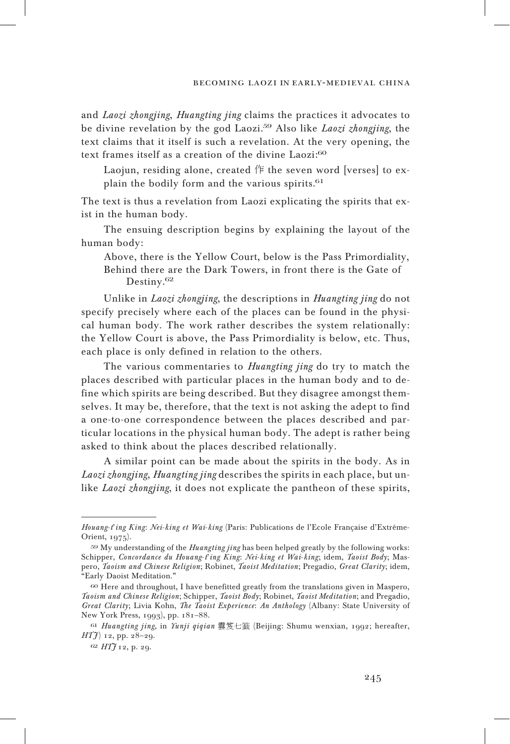and *Laozi zhongjing*, *Huangting jing* claims the practices it advocates to be divine revelation by the god Laozi.<sup>59</sup> Also like *Laozi zhongjing*, the text claims that it itself is such a revelation. At the very opening, the text frames itself as a creation of the divine Laozi:<sup>60</sup>

Laojun, residing alone, created 作 the seven word [verses] to explain the bodily form and the various spirits.<sup>61</sup>

The text is thus a revelation from Laozi explicating the spirits that exist in the human body.

The ensuing description begins by explaining the layout of the human body:

Above, there is the Yellow Court, below is the Pass Primordiality, Behind there are the Dark Towers, in front there is the Gate of Destiny.<sup>62</sup>

Unlike in *Laozi zhongjing*, the descriptions in *Huangting jing* do not specify precisely where each of the places can be found in the physical human body. The work rather describes the system relationally: the Yellow Court is above, the Pass Primordiality is below, etc. Thus, each place is only defined in relation to the others.

The various commentaries to *Huangting jing* do try to match the places described with particular places in the human body and to define which spirits are being described. But they disagree amongst themselves. It may be, therefore, that the text is not asking the adept to find a one-to-one correspondence between the places described and particular locations in the physical human body. The adept is rather being asked to think about the places described relationally.

A similar point can be made about the spirits in the body. As in *Laozi zhongjing*, *Huangting jing* describes the spirits in each place, but unlike *Laozi zhongjing*, it does not explicate the pantheon of these spirits,

*Houang*-*t*'*ing King*: *Nei*-*king et Wai*-*king* (Paris: Publications de l'Ecole Française d'Extrême-Orient, 1975).

<sup>59</sup> My understanding of the *Huangting jing* has been helped greatly by the following works: Schipper, *Concordance du Houang*-*t*'*ing King*: *Nei*-*king et Wai*-*king*; idem, *Taoist Body*; Maspero, *Taoism and Chinese Religion*; Robinet, *Taoist Meditation*; Pregadio, *Great Clarity*; idem, "Early Daoist Meditation."

<sup>60</sup> Here and throughout, I have benefitted greatly from the translations given in Maspero, *Taoism and Chinese Religion*; Schipper, *Taoist Body*; Robinet, *Taoist Meditation*; and Pregadio, *Great Clarity*; Livia Kohn, *The Taoist Experience*: *An Anthology* (Albany: State University of New York Press, 1993), pp. 181–88.

<sup>61</sup> *Huangting jing*, in *Yunji qiqian* 雲笈七籖 (Beijing: Shumu wenxian, 1992; hereafter, *HTJ*) 12, pp. 28–29.

<sup>62</sup> *HT* $f$  12, p. 29.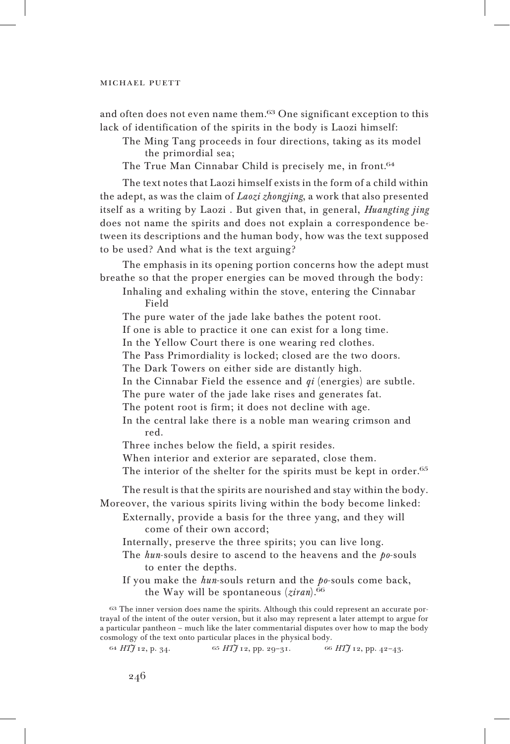and often does not even name them.<sup>63</sup> One significant exception to this lack of identification of the spirits in the body is Laozi himself:

The Ming Tang proceeds in four directions, taking as its model the primordial sea;

The True Man Cinnabar Child is precisely me, in front.<sup>64</sup>

The text notes that Laozi himself exists in the form of a child within the adept, as was the claim of *Laozi zhongjing*, a work that also presented itself as a writing by Laozi . But given that, in general, *Huangting jing* does not name the spirits and does not explain a correspondence between its descriptions and the human body, how was the text supposed to be used? And what is the text arguing?

The emphasis in its opening portion concerns how the adept must breathe so that the proper energies can be moved through the body:

Inhaling and exhaling within the stove, entering the Cinnabar Field

The pure water of the jade lake bathes the potent root.

If one is able to practice it one can exist for a long time.

In the Yellow Court there is one wearing red clothes.

The Pass Primordiality is locked; closed are the two doors.

The Dark Towers on either side are distantly high.

In the Cinnabar Field the essence and *qi* (energies) are subtle.

The pure water of the jade lake rises and generates fat.

The potent root is firm; it does not decline with age.

In the central lake there is a noble man wearing crimson and red.

Three inches below the field, a spirit resides.

When interior and exterior are separated, close them.

The interior of the shelter for the spirits must be kept in order.<sup>65</sup>

The result is that the spirits are nourished and stay within the body. Moreover, the various spirits living within the body become linked:

Externally, provide a basis for the three yang, and they will come of their own accord;

Internally, preserve the three spirits; you can live long.

- The *hun*-souls desire to ascend to the heavens and the *po*-souls to enter the depths.
- If you make the *hun*-souls return and the *po*-souls come back, the Way will be spontaneous (*ziran*).<sup>66</sup>

<sup>63</sup> The inner version does name the spirits. Although this could represent an accurate portrayal of the intent of the outer version, but it also may represent a later attempt to argue for a particular pantheon – much like the later commentarial disputes over how to map the body cosmology of the text onto particular places in the physical body.

<sup>64</sup> *HT J* 12, p. 34. <sup>65</sup> *HT J* 12, pp. 29–31. <sup>66</sup> *HT J* 12, pp. 42–43.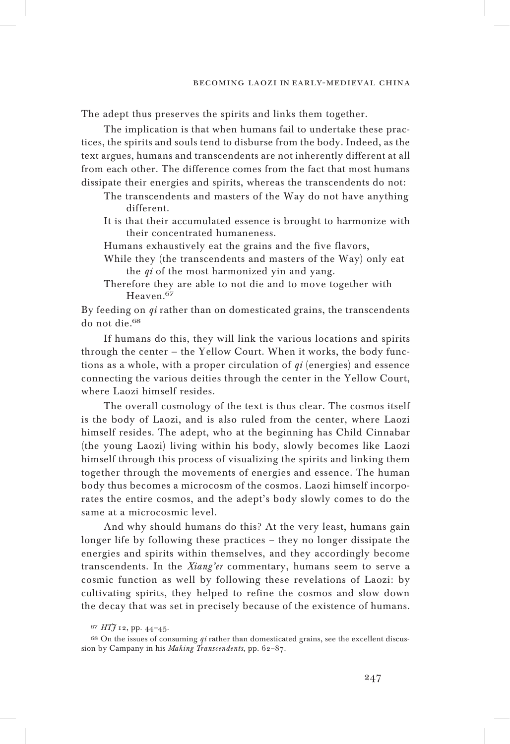The adept thus preserves the spirits and links them together.

The implication is that when humans fail to undertake these practices, the spirits and souls tend to disburse from the body. Indeed, as the text argues, humans and transcendents are not inherently different at all from each other. The difference comes from the fact that most humans dissipate their energies and spirits, whereas the transcendents do not:

- The transcendents and masters of the Way do not have anything different.
- It is that their accumulated essence is brought to harmonize with their concentrated humaneness.
- Humans exhaustively eat the grains and the five flavors,
- While they (the transcendents and masters of the Way) only eat the *qi* of the most harmonized yin and yang.
- Therefore they are able to not die and to move together with Heaven.<sup>67</sup>

By feeding on *qi* rather than on domesticated grains, the transcendents do not die.<sup>68</sup>

If humans do this, they will link the various locations and spirits through the center — the Yellow Court. When it works, the body functions as a whole, with a proper circulation of *qi* (energies) and essence connecting the various deities through the center in the Yellow Court, where Laozi himself resides.

The overall cosmology of the text is thus clear. The cosmos itself is the body of Laozi, and is also ruled from the center, where Laozi himself resides. The adept, who at the beginning has Child Cinnabar (the young Laozi) living within his body, slowly becomes like Laozi himself through this process of visualizing the spirits and linking them together through the movements of energies and essence. The human body thus becomes a microcosm of the cosmos. Laozi himself incorporates the entire cosmos, and the adept's body slowly comes to do the same at a microcosmic level.

And why should humans do this? At the very least, humans gain longer life by following these practices – they no longer dissipate the energies and spirits within themselves, and they accordingly become transcendents. In the *Xiang'er* commentary, humans seem to serve a cosmic function as well by following these revelations of Laozi: by cultivating spirits, they helped to refine the cosmos and slow down the decay that was set in precisely because of the existence of humans.

<sup>67</sup> *HT J* 12, pp. 44–45.

<sup>68</sup> On the issues of consuming *qi* rather than domesticated grains, see the excellent discussion by Campany in his *Making Transcendents*, pp. 62–87.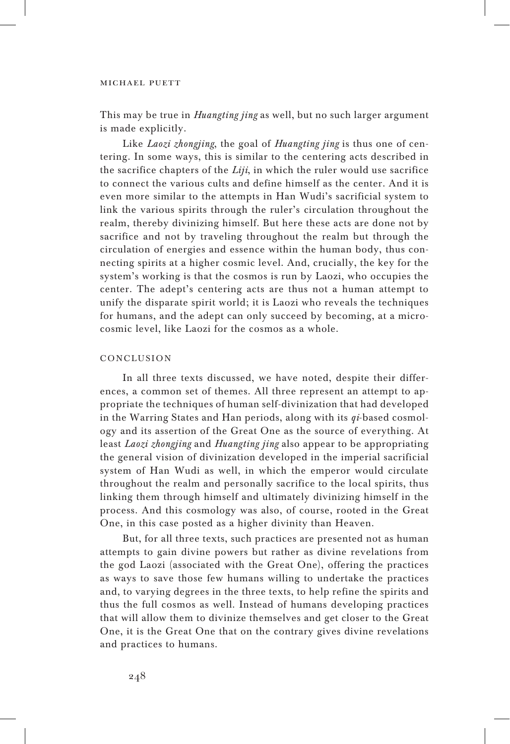This may be true in *Huangting jing* as well, but no such larger argument is made explicitly.

Like *Laozi zhongjing*, the goal of *Huangting jing* is thus one of centering. In some ways, this is similar to the centering acts described in the sacrifice chapters of the *Liji*, in which the ruler would use sacrifice to connect the various cults and define himself as the center. And it is even more similar to the attempts in Han Wudi's sacrificial system to link the various spirits through the ruler's circulation throughout the realm, thereby divinizing himself. But here these acts are done not by sacrifice and not by traveling throughout the realm but through the circulation of energies and essence within the human body, thus connecting spirits at a higher cosmic level. And, crucially, the key for the system's working is that the cosmos is run by Laozi, who occupies the center. The adept's centering acts are thus not a human attempt to unify the disparate spirit world; it is Laozi who reveals the techniques for humans, and the adept can only succeed by becoming, at a microcosmic level, like Laozi for the cosmos as a whole.

## CONCLUSION

In all three texts discussed, we have noted, despite their differences, a common set of themes. All three represent an attempt to appropriate the techniques of human self-divinization that had developed in the Warring States and Han periods, along with its *qi*-based cosmology and its assertion of the Great One as the source of everything. At least *Laozi zhongjing* and *Huangting jing* also appear to be appropriating the general vision of divinization developed in the imperial sacrificial system of Han Wudi as well, in which the emperor would circulate throughout the realm and personally sacrifice to the local spirits, thus linking them through himself and ultimately divinizing himself in the process. And this cosmology was also, of course, rooted in the Great One, in this case posted as a higher divinity than Heaven.

But, for all three texts, such practices are presented not as human attempts to gain divine powers but rather as divine revelations from the god Laozi (associated with the Great One), offering the practices as ways to save those few humans willing to undertake the practices and, to varying degrees in the three texts, to help refine the spirits and thus the full cosmos as well. Instead of humans developing practices that will allow them to divinize themselves and get closer to the Great One, it is the Great One that on the contrary gives divine revelations and practices to humans.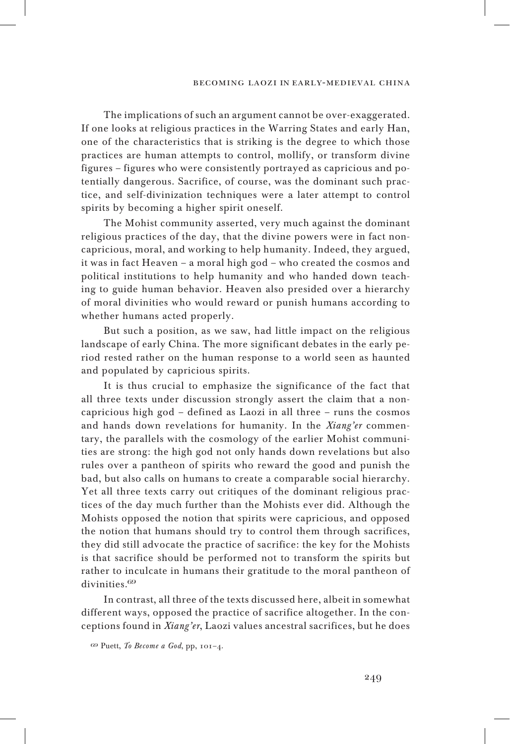The implications of such an argument cannot be over-exaggerated. If one looks at religious practices in the Warring States and early Han, one of the characteristics that is striking is the degree to which those practices are human attempts to control, mollify, or transform divine figures – figures who were consistently portrayed as capricious and potentially dangerous. Sacrifice, of course, was the dominant such practice, and self-divinization techniques were a later attempt to control spirits by becoming a higher spirit oneself.

The Mohist community asserted, very much against the dominant religious practices of the day, that the divine powers were in fact noncapricious, moral, and working to help humanity. Indeed, they argued, it was in fact Heaven – a moral high god – who created the cosmos and political institutions to help humanity and who handed down teaching to guide human behavior. Heaven also presided over a hierarchy of moral divinities who would reward or punish humans according to whether humans acted properly.

But such a position, as we saw, had little impact on the religious landscape of early China. The more significant debates in the early period rested rather on the human response to a world seen as haunted and populated by capricious spirits.

It is thus crucial to emphasize the significance of the fact that all three texts under discussion strongly assert the claim that a noncapricious high god – defined as Laozi in all three – runs the cosmos and hands down revelations for humanity. In the *Xiang'er* commentary, the parallels with the cosmology of the earlier Mohist communities are strong: the high god not only hands down revelations but also rules over a pantheon of spirits who reward the good and punish the bad, but also calls on humans to create a comparable social hierarchy. Yet all three texts carry out critiques of the dominant religious practices of the day much further than the Mohists ever did. Although the Mohists opposed the notion that spirits were capricious, and opposed the notion that humans should try to control them through sacrifices, they did still advocate the practice of sacrifice: the key for the Mohists is that sacrifice should be performed not to transform the spirits but rather to inculcate in humans their gratitude to the moral pantheon of divinities.<sup>69</sup>

In contrast, all three of the texts discussed here, albeit in somewhat different ways, opposed the practice of sacrifice altogether. In the conceptions found in *Xiang'er*, Laozi values ancestral sacrifices, but he does

<sup>69</sup> Puett, *To Become a God*, pp, 101–4.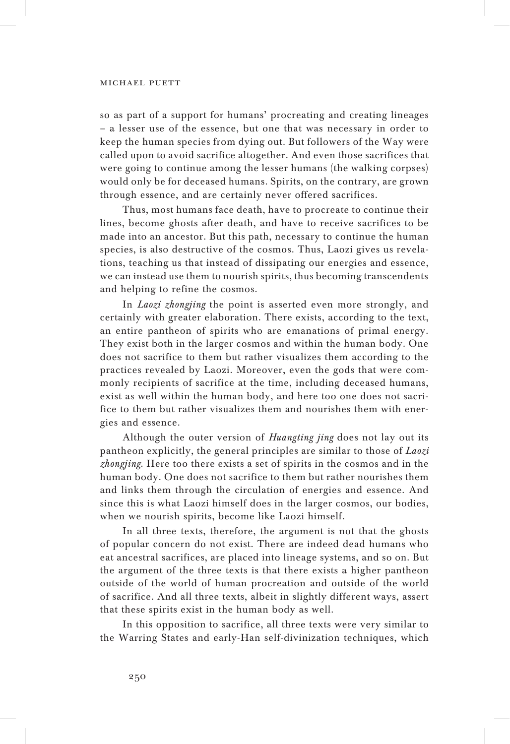so as part of a support for humans' procreating and creating lineages – a lesser use of the essence, but one that was necessary in order to keep the human species from dying out. But followers of the Way were called upon to avoid sacrifice altogether. And even those sacrifices that were going to continue among the lesser humans (the walking corpses) would only be for deceased humans. Spirits, on the contrary, are grown through essence, and are certainly never offered sacrifices.

Thus, most humans face death, have to procreate to continue their lines, become ghosts after death, and have to receive sacrifices to be made into an ancestor. But this path, necessary to continue the human species, is also destructive of the cosmos. Thus, Laozi gives us revelations, teaching us that instead of dissipating our energies and essence, we can instead use them to nourish spirits, thus becoming transcendents and helping to refine the cosmos.

In *Laozi zhongjing* the point is asserted even more strongly, and certainly with greater elaboration. There exists, according to the text, an entire pantheon of spirits who are emanations of primal energy. They exist both in the larger cosmos and within the human body. One does not sacrifice to them but rather visualizes them according to the practices revealed by Laozi. Moreover, even the gods that were commonly recipients of sacrifice at the time, including deceased humans, exist as well within the human body, and here too one does not sacrifice to them but rather visualizes them and nourishes them with energies and essence.

Although the outer version of *Huangting jing* does not lay out its pantheon explicitly, the general principles are similar to those of *Laozi zhongjing*. Here too there exists a set of spirits in the cosmos and in the human body. One does not sacrifice to them but rather nourishes them and links them through the circulation of energies and essence. And since this is what Laozi himself does in the larger cosmos, our bodies, when we nourish spirits, become like Laozi himself.

In all three texts, therefore, the argument is not that the ghosts of popular concern do not exist. There are indeed dead humans who eat ancestral sacrifices, are placed into lineage systems, and so on. But the argument of the three texts is that there exists a higher pantheon outside of the world of human procreation and outside of the world of sacrifice. And all three texts, albeit in slightly different ways, assert that these spirits exist in the human body as well.

In this opposition to sacrifice, all three texts were very similar to the Warring States and early-Han self-divinization techniques, which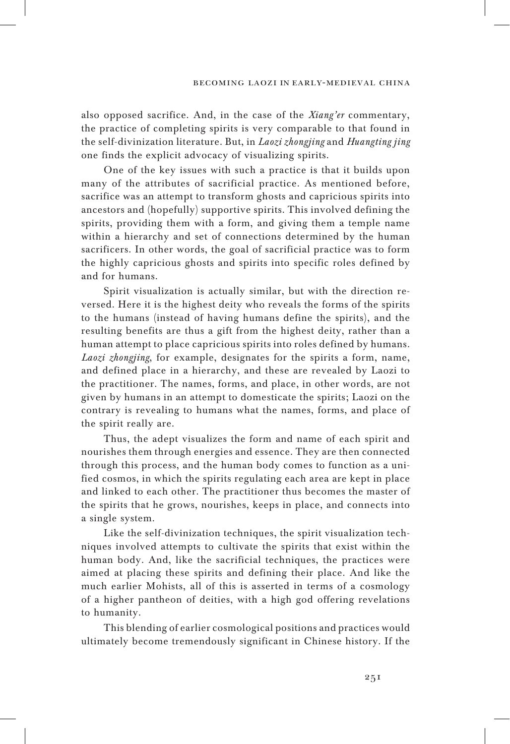#### becoming laozi in early-medieval china

also opposed sacrifice. And, in the case of the *Xiang'er* commentary, the practice of completing spirits is very comparable to that found in the self-divinization literature. But, in *Laozi zhongjing* and *Huangting jing* one finds the explicit advocacy of visualizing spirits.

One of the key issues with such a practice is that it builds upon many of the attributes of sacrificial practice. As mentioned before, sacrifice was an attempt to transform ghosts and capricious spirits into ancestors and (hopefully) supportive spirits. This involved defining the spirits, providing them with a form, and giving them a temple name within a hierarchy and set of connections determined by the human sacrificers. In other words, the goal of sacrificial practice was to form the highly capricious ghosts and spirits into specific roles defined by and for humans.

Spirit visualization is actually similar, but with the direction reversed. Here it is the highest deity who reveals the forms of the spirits to the humans (instead of having humans define the spirits), and the resulting benefits are thus a gift from the highest deity, rather than a human attempt to place capricious spirits into roles defined by humans. *Laozi zhongjing*, for example, designates for the spirits a form, name, and defined place in a hierarchy, and these are revealed by Laozi to the practitioner. The names, forms, and place, in other words, are not given by humans in an attempt to domesticate the spirits; Laozi on the contrary is revealing to humans what the names, forms, and place of the spirit really are.

Thus, the adept visualizes the form and name of each spirit and nourishes them through energies and essence. They are then connected through this process, and the human body comes to function as a unified cosmos, in which the spirits regulating each area are kept in place and linked to each other. The practitioner thus becomes the master of the spirits that he grows, nourishes, keeps in place, and connects into a single system.

Like the self-divinization techniques, the spirit visualization techniques involved attempts to cultivate the spirits that exist within the human body. And, like the sacrificial techniques, the practices were aimed at placing these spirits and defining their place. And like the much earlier Mohists, all of this is asserted in terms of a cosmology of a higher pantheon of deities, with a high god offering revelations to humanity.

This blending of earlier cosmological positions and practices would ultimately become tremendously significant in Chinese history. If the